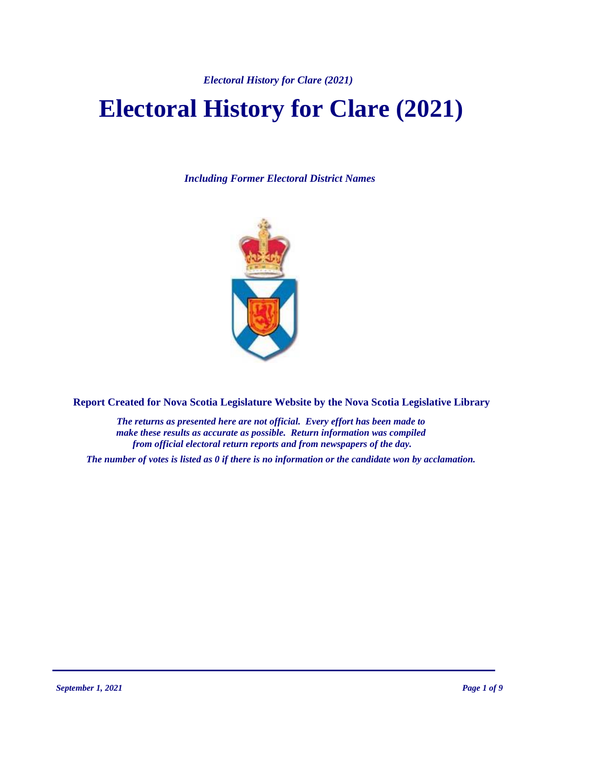*Electoral History for Clare (2021)*

# **Electoral History for Clare (2021)**

*Including Former Electoral District Names*



**Report Created for Nova Scotia Legislature Website by the Nova Scotia Legislative Library**

*The returns as presented here are not official. Every effort has been made to make these results as accurate as possible. Return information was compiled from official electoral return reports and from newspapers of the day.*

*The number of votes is listed as 0 if there is no information or the candidate won by acclamation.*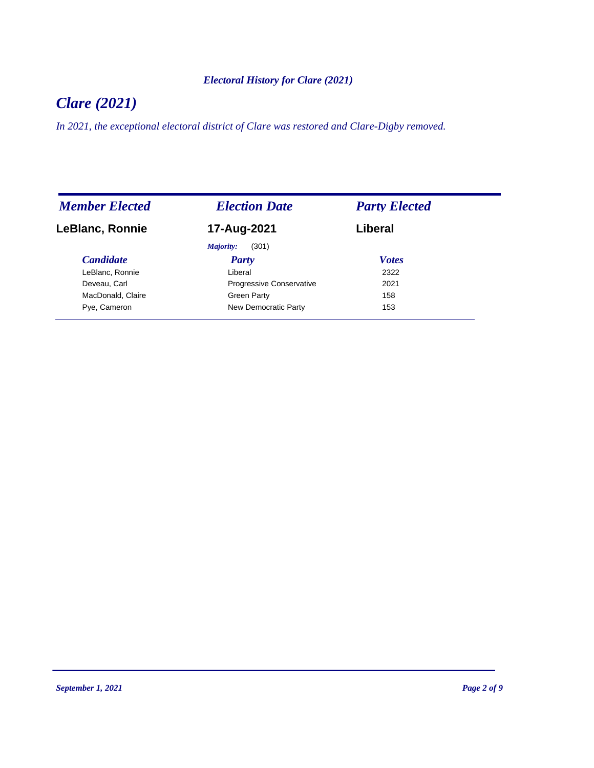#### *Electoral History for Clare (2021)*

## *Clare (2021)*

*In 2021, the exceptional electoral district of Clare was restored and Clare-Digby removed.*

| <b>Member Elected</b>  | <b>Election Date</b>            | <b>Party Elected</b> |
|------------------------|---------------------------------|----------------------|
| <b>LeBlanc, Ronnie</b> | 17-Aug-2021                     | Liberal              |
|                        | (301)<br>Majority:              |                      |
| <b>Candidate</b>       | <b>Party</b>                    | <b>Votes</b>         |
| LeBlanc, Ronnie        | Liberal                         | 2322                 |
| Deveau, Carl           | <b>Progressive Conservative</b> | 2021                 |
| MacDonald, Claire      | Green Party                     | 158                  |
| Pye, Cameron           | New Democratic Party            | 153                  |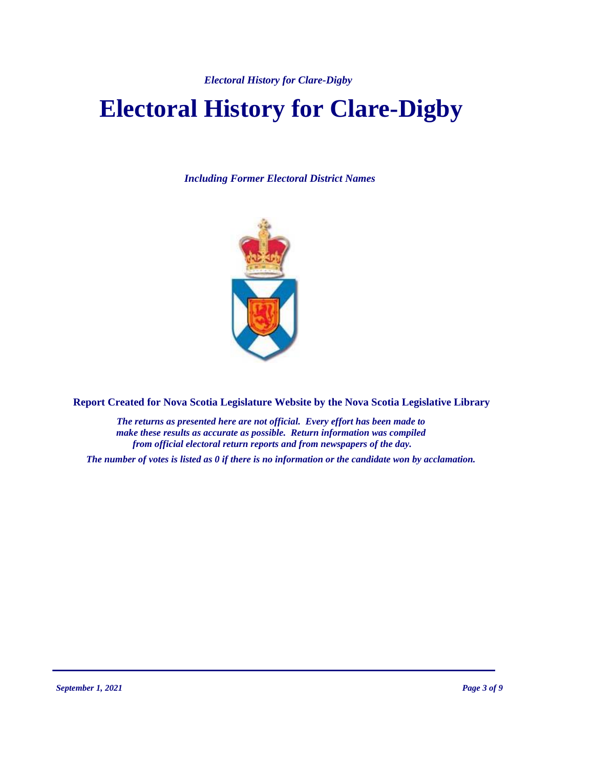*Electoral History for Clare-Digby*

# **Electoral History for Clare-Digby**

*Including Former Electoral District Names*



**Report Created for Nova Scotia Legislature Website by the Nova Scotia Legislative Library**

*The returns as presented here are not official. Every effort has been made to make these results as accurate as possible. Return information was compiled from official electoral return reports and from newspapers of the day.*

*The number of votes is listed as 0 if there is no information or the candidate won by acclamation.*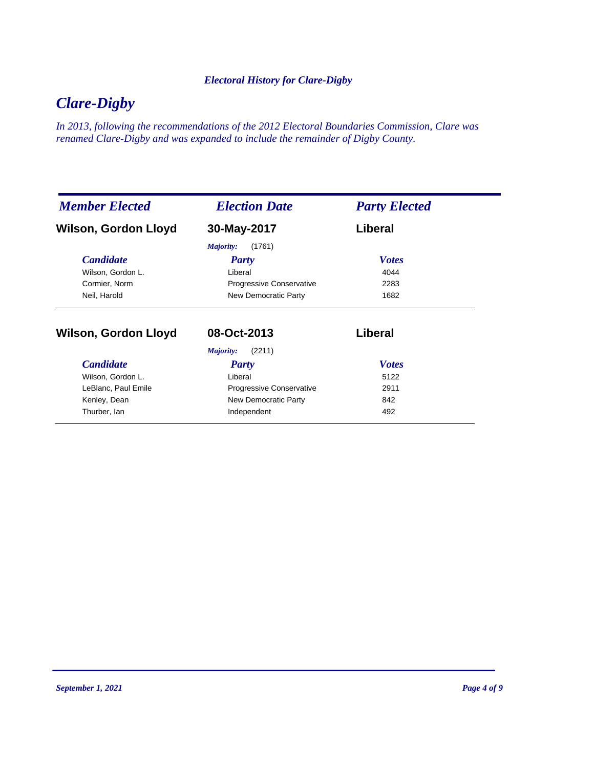#### *Electoral History for Clare-Digby*

### *Clare-Digby*

*In 2013, following the recommendations of the 2012 Electoral Boundaries Commission, Clare was renamed Clare-Digby and was expanded to include the remainder of Digby County.*

| <b>Member Elected</b> | <b>Election Date</b>                                        | <b>Party Elected</b> |
|-----------------------|-------------------------------------------------------------|----------------------|
| Wilson, Gordon Lloyd  | 30-May-2017                                                 | Liberal              |
|                       | (1761)<br>Majority:                                         |                      |
| <b>Candidate</b>      | Party                                                       | <b>Votes</b>         |
| Wilson, Gordon L.     | Liberal<br>Progressive Conservative<br>New Democratic Party | 4044<br>2283         |
| Cormier, Norm         |                                                             |                      |
| Neil, Harold          |                                                             | 1682                 |
| Wilson, Gordon Lloyd  | 08-Oct-2013                                                 | Liberal              |
|                       | (2211)<br>Majority:                                         |                      |
| <b>Candidate</b>      | Party                                                       | <b>Votes</b>         |
| Wilson, Gordon L.     | Liberal                                                     | 5122                 |
| LeBlanc, Paul Emile   | Progressive Conservative                                    | 2911                 |
| Kenley, Dean          | New Democratic Party                                        | 842                  |
| Thurber, lan          | Independent                                                 | 492                  |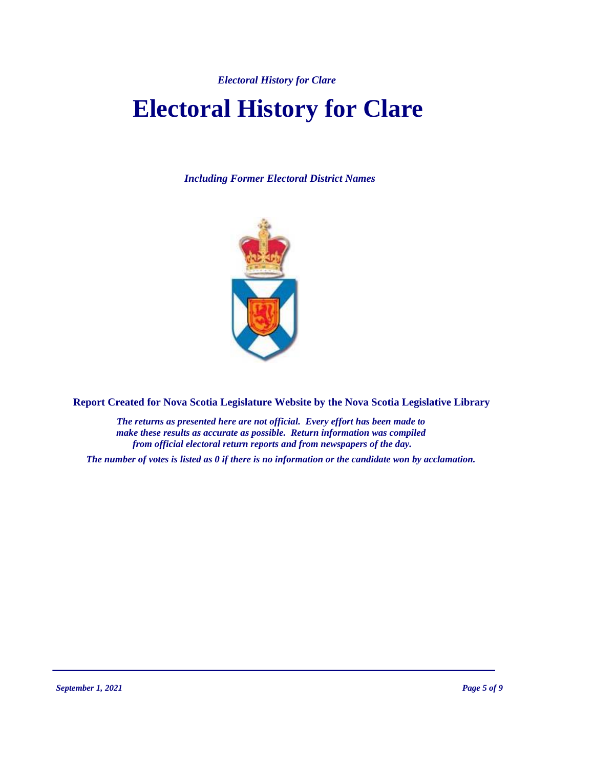# **Electoral History for Clare**

*Including Former Electoral District Names*



**Report Created for Nova Scotia Legislature Website by the Nova Scotia Legislative Library**

*The returns as presented here are not official. Every effort has been made to make these results as accurate as possible. Return information was compiled from official electoral return reports and from newspapers of the day.*

*The number of votes is listed as 0 if there is no information or the candidate won by acclamation.*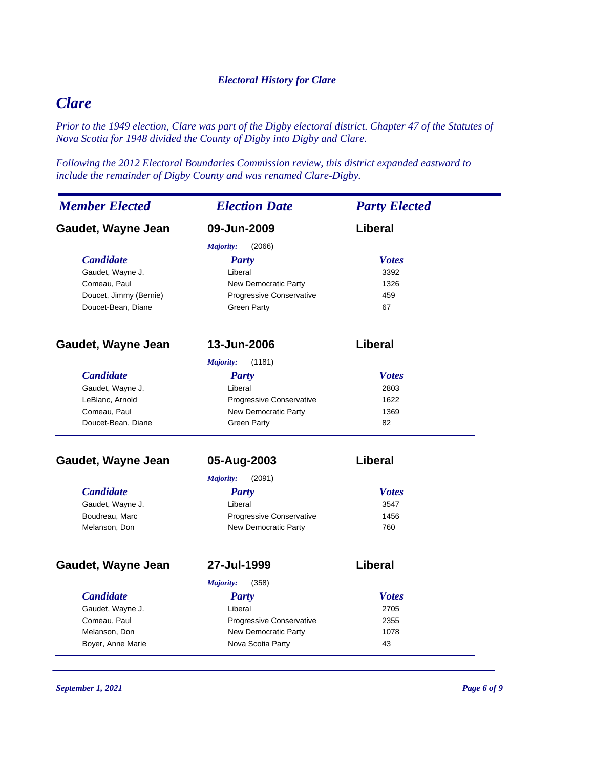### *Clare*

*Prior to the 1949 election, Clare was part of the Digby electoral district. Chapter 47 of the Statutes of Nova Scotia for 1948 divided the County of Digby into Digby and Clare.*

*Following the 2012 Electoral Boundaries Commission review, this district expanded eastward to include the remainder of Digby County and was renamed Clare-Digby.*

| <b>Member Elected</b>  | <b>Election Date</b>            | <b>Party Elected</b> |
|------------------------|---------------------------------|----------------------|
| Gaudet, Wayne Jean     | 09-Jun-2009                     | Liberal              |
|                        | <b>Majority:</b><br>(2066)      |                      |
| <b>Candidate</b>       | Party                           | <b>Votes</b>         |
| Gaudet, Wayne J.       | Liberal                         | 3392                 |
| Comeau, Paul           | <b>New Democratic Party</b>     | 1326                 |
| Doucet, Jimmy (Bernie) | <b>Progressive Conservative</b> | 459                  |
| Doucet-Bean, Diane     | <b>Green Party</b>              | 67                   |
| Gaudet, Wayne Jean     | 13-Jun-2006                     | Liberal              |
|                        | <b>Majority:</b><br>(1181)      |                      |
| <b>Candidate</b>       | <b>Party</b>                    | <b>Votes</b>         |
| Gaudet, Wayne J.       | Liberal                         | 2803                 |
| LeBlanc, Arnold        | Progressive Conservative        | 1622                 |
| Comeau, Paul           | <b>New Democratic Party</b>     | 1369                 |
| Doucet-Bean, Diane     | <b>Green Party</b>              | 82                   |
| Gaudet, Wayne Jean     | 05-Aug-2003                     | Liberal              |
|                        | Majority:<br>(2091)             |                      |
| <b>Candidate</b>       | <b>Party</b>                    | <b>Votes</b>         |
| Gaudet, Wayne J.       | Liberal                         | 3547                 |
| Boudreau, Marc         | Progressive Conservative        | 1456                 |
| Melanson, Don          | New Democratic Party            | 760                  |
| Gaudet, Wayne Jean     | 27-Jul-1999                     | Liberal              |
|                        | Majority:<br>(358)              |                      |
| <b>Candidate</b>       | Party                           | <b>Votes</b>         |
| Gaudet, Wayne J.       | Liberal                         | 2705                 |
| Comeau, Paul           | Progressive Conservative        | 2355                 |
| Melanson, Don          | New Democratic Party            | 1078                 |
| Boyer, Anne Marie      | Nova Scotia Party               | 43                   |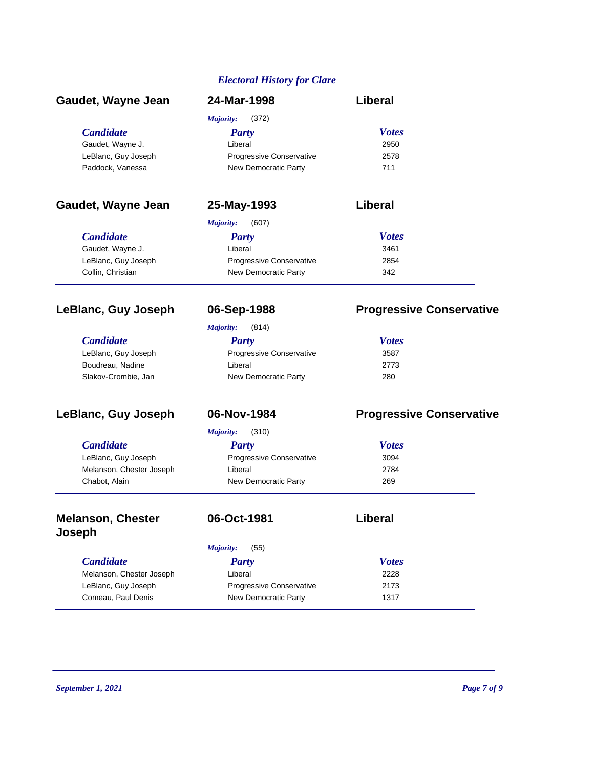| Gaudet, Wayne Jean                 | 24-Mar-1998               | Liberal                         |  |
|------------------------------------|---------------------------|---------------------------------|--|
|                                    | <b>Majority:</b><br>(372) |                                 |  |
| <b>Candidate</b>                   | <b>Party</b>              | <b>Votes</b>                    |  |
| Gaudet, Wayne J.                   | Liberal                   | 2950                            |  |
| LeBlanc, Guy Joseph                | Progressive Conservative  | 2578                            |  |
| Paddock, Vanessa                   | New Democratic Party      | 711                             |  |
| Gaudet, Wayne Jean                 | 25-May-1993               | Liberal                         |  |
|                                    | Majority:<br>(607)        |                                 |  |
| <b>Candidate</b>                   | <b>Party</b>              | <b>Votes</b>                    |  |
| Gaudet, Wayne J.                   | Liberal                   | 3461                            |  |
| LeBlanc, Guy Joseph                | Progressive Conservative  | 2854                            |  |
| Collin, Christian                  | New Democratic Party      | 342                             |  |
| LeBlanc, Guy Joseph                | 06-Sep-1988               | <b>Progressive Conservative</b> |  |
|                                    | (814)<br>Majority:        |                                 |  |
| <b>Candidate</b>                   | <b>Party</b>              | <b>Votes</b>                    |  |
| LeBlanc, Guy Joseph                | Progressive Conservative  | 3587                            |  |
| Boudreau, Nadine                   | Liberal                   | 2773                            |  |
| Slakov-Crombie, Jan                | New Democratic Party      | 280                             |  |
| LeBlanc, Guy Joseph                | 06-Nov-1984               | <b>Progressive Conservative</b> |  |
|                                    | <b>Majority:</b><br>(310) |                                 |  |
| <b>Candidate</b>                   | <b>Party</b>              | <b>Votes</b>                    |  |
| LeBlanc, Guy Joseph                | Progressive Conservative  | 3094                            |  |
| Melanson, Chester Joseph           | Liberal                   | 2784                            |  |
| Chabot, Alain                      | New Democratic Party      | 269                             |  |
| <b>Melanson, Chester</b><br>Joseph | 06-Oct-1981               | <b>Liberal</b>                  |  |
|                                    | (55)<br>Majority:         |                                 |  |
| <b>Candidate</b>                   | <b>Party</b>              | <b>Votes</b>                    |  |
| Melanson, Chester Joseph           | Liberal                   | 2228                            |  |
| LeBlanc, Guy Joseph                | Progressive Conservative  | 2173                            |  |
| Comeau, Paul Denis                 | New Democratic Party      | 1317                            |  |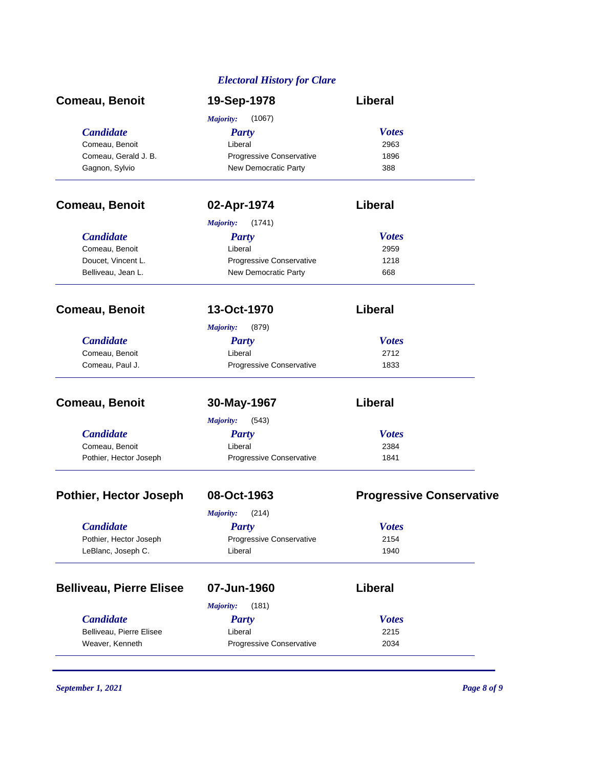| Comeau, Benoit                  | 19-Sep-1978                | <b>Liberal</b>                  |
|---------------------------------|----------------------------|---------------------------------|
|                                 | Majority:<br>(1067)        |                                 |
| <b>Candidate</b>                | <b>Party</b>               | <b>Votes</b>                    |
| Comeau, Benoit                  | Liberal                    | 2963                            |
| Comeau, Gerald J. B.            | Progressive Conservative   | 1896                            |
| Gagnon, Sylvio                  | New Democratic Party       | 388                             |
| Comeau, Benoit                  | 02-Apr-1974                | Liberal                         |
|                                 | <b>Majority:</b><br>(1741) |                                 |
| <b>Candidate</b>                | <b>Party</b>               | <b>Votes</b>                    |
| Comeau, Benoit                  | Liberal                    | 2959                            |
| Doucet, Vincent L.              | Progressive Conservative   | 1218                            |
| Belliveau, Jean L.              | New Democratic Party       | 668                             |
| Comeau, Benoit                  | 13-Oct-1970                | Liberal                         |
|                                 | <b>Majority:</b><br>(879)  |                                 |
| <b>Candidate</b>                | <b>Party</b>               | <b>Votes</b>                    |
| Comeau, Benoit                  | Liberal                    | 2712                            |
| Comeau, Paul J.                 | Progressive Conservative   | 1833                            |
|                                 |                            |                                 |
| Comeau, Benoit                  | 30-May-1967                | <b>Liberal</b>                  |
|                                 | <b>Majority:</b><br>(543)  |                                 |
| <b>Candidate</b>                | <b>Party</b>               | <b>Votes</b>                    |
| Comeau, Benoit                  | Liberal                    | 2384                            |
| Pothier, Hector Joseph          | Progressive Conservative   | 1841                            |
| <b>Pothier, Hector Joseph</b>   | 08-Oct-1963                | <b>Progressive Conservative</b> |
|                                 | <b>Majority:</b><br>(214)  |                                 |
| <b>Candidate</b>                | <b>Party</b>               | <b>Votes</b>                    |
| Pothier, Hector Joseph          | Progressive Conservative   | 2154                            |
| LeBlanc, Joseph C.              | Liberal                    | 1940                            |
| <b>Belliveau, Pierre Elisee</b> | 07-Jun-1960                | Liberal                         |
|                                 | (181)<br><b>Majority:</b>  |                                 |
| <b>Candidate</b>                | <b>Party</b>               | <b>Votes</b>                    |
| Belliveau, Pierre Elisee        | Liberal                    | 2215                            |
| Weaver, Kenneth                 | Progressive Conservative   | 2034                            |